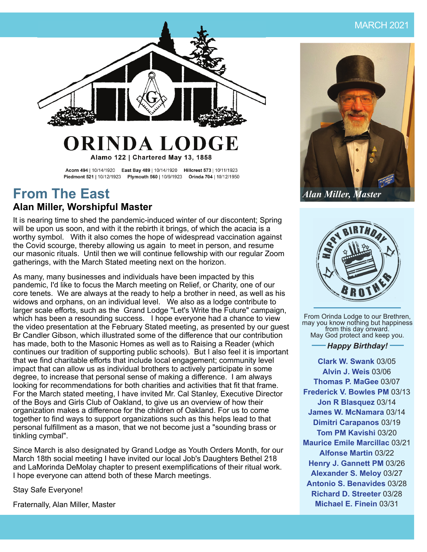

### ORINDA LODGE Alamo 122 | Chartered May 13, 1858

Acorn 494 | 10/14/1920 East Bay 489 | 10/14/1920 Hillcrest 573 | 10/11/1923 Piedmont 521 | 10/12/1923 Plymouth 560 | 10/9/1923 Orinda 704 | 10/12/1950

### **From The East Alan Miller, Worshipful Master**

It is nearing time to shed the pandemic-induced winter of our discontent; Spring will be upon us soon, and with it the rebirth it brings, of which the acacia is a worthy symbol. With it also comes the hope of widespread vaccination against the Covid scourge, thereby allowing us again to meet in person, and resume our masonic rituals. Until then we will continue fellowship with our regular Zoom gatherings, with the March Stated meeting next on the horizon.

As many, many businesses and individuals have been impacted by this pandemic, I'd like to focus the March meeting on Relief, or Charity, one of our core tenets. We are always at the ready to help a brother in need, as well as his widows and orphans, on an individual level. We also as a lodge contribute to larger scale efforts, such as the Grand Lodge "Let's Write the Future" campaign, which has been a resounding success. I hope everyone had a chance to view the video presentation at the February Stated meeting, as presented by our guest Br Candler Gibson, which illustrated some of the difference that our contribution has made, both to the Masonic Homes as well as to Raising a Reader (which continues our tradition of supporting public schools). But I also feel it is important that we find charitable efforts that include local engagement; community level impact that can allow us as individual brothers to actively participate in some degree, to increase that personal sense of making a difference. I am always looking for recommendations for both charities and activities that fit that frame. For the March stated meeting, I have invited Mr. Cal Stanley, Executive Director of the Boys and Girls Club of Oakland, to give us an overview of how their organization makes a difference for the children of Oakland. For us to come together to find ways to support organizations such as this helps lead to that personal fulfillment as a mason, that we not become just a "sounding brass or tinkling cymbal".

Since March is also designated by Grand Lodge as Youth Orders Month, for our March 18th social meeting I have invited our local Job's Daughters Bethel 218 and LaMorinda DeMolay chapter to present exemplifications of their ritual work. I hope everyone can attend both of these March meetings.

Stay Safe Everyone!

Fraternally, Alan Miller, Master



*Alan Miller, Master*



From Orinda Lodge to our Brethren,<br>may you know nothing but happiness  $\sim$  from this day onward. May God protect and keep you.

#### *Happy Birthday!*

**Clark W. Swank** 03/05 **Alvin J. Weis** 03/06 **Thomas P. MaGee** 03/07 **Frederick V. Bowles PM** 03/13 **Jon R Blasquez** 03/14 **James W. McNamara** 03/14 **Dimitri Carapanos** 03/19 **Tom PM Kavishi** 03/20 **Maurice Emile Marcillac** 03/21 **Alfonse Martin** 03/22 **Henry J. Gannett PM** 03/26 **Alexander S. Meloy** 03/27 **Antonio S. Benavides** 03/28 **Richard D. Streeter** 03/28 **Michael E. Finein** 03/31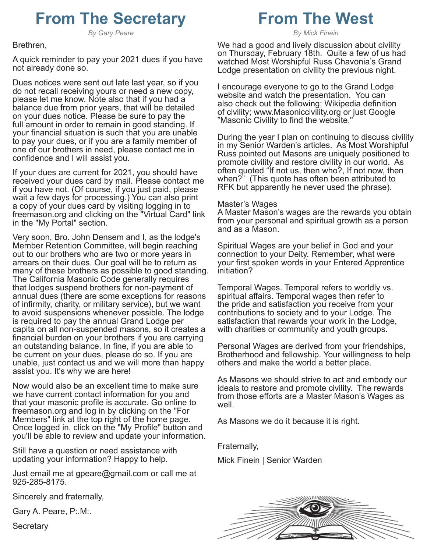# **From The Secretary**

*By Gary Peare*

#### Brethren,

A quick reminder to pay your 2021 dues if you have not already done so.

Dues notices were sent out late last year, so if you do not recall receiving yours or need a new copy, please let me know. Note also that if you had a balance due from prior years, that will be detailed on your dues notice. Please be sure to pay the full amount in order to remain in good standing. If your financial situation is such that you are unable to pay your dues, or if you are a family member of one of our brothers in need, please contact me in confidence and I will assist you.

If your dues are current for 2021, you should have received your dues card by mail. Please contact me if you have not. (Of course, if you just paid, please wait a few days for processing.) You can also print a copy of your dues card by visiting logging in to freemason.org and clicking on the "Virtual Card" link in the "My Portal" section.

Very soon, Bro. John Densem and I, as the lodge's Member Retention Committee, will begin reaching out to our brothers who are two or more years in arrears on their dues. Our goal will be to return as many of these brothers as possible to good standing. The California Masonic Code generally requires that lodges suspend brothers for non-payment of annual dues (there are some exceptions for reasons of infirmity, charity, or military service), but we want to avoid suspensions whenever possible. The lodge is required to pay the annual Grand Lodge per capita on all non-suspended masons, so it creates a financial burden on your brothers if you are carrying an outstanding balance. In fine, if you are able to be current on your dues, please do so. If you are unable, just contact us and we will more than happy assist you. It's why we are here!

Now would also be an excellent time to make sure we have current contact information for you and that your masonic profile is accurate. Go online to freemason.org and log in by clicking on the "For Members" link at the top right of the home page. Once logged in, click on the "My Profile" button and you'll be able to review and update your information.

Still have a question or need assistance with updating your information? Happy to help.

Just email me at gpeare@gmail.com or call me at 925-285-8175.

Sincerely and fraternally,

Gary A. Peare, P:.M:.

Secretary

# **From The West**

*By Mick Finein*

We had a good and lively discussion about civility on Thursday, February 18th. Quite a few of us had watched Most Worshipful Russ Chavonia's Grand Lodge presentation on civility the previous night.

I encourage everyone to go to the Grand Lodge website and watch the presentation. You can also check out the following; Wikipedia definition of civility; www.Masoniccivility.org or just Google "Masonic Civility to find the website."

During the year I plan on continuing to discuss civility in my Senior Warden's articles. As Most Worshipful Russ pointed out Masons are uniquely positioned to promote civility and restore civility in our world. As often quoted "If not us, then who?, If not now, then when?" (This quote has often been attributed to RFK but apparently he never used the phrase).

#### Master's Wages

A Master Mason's wages are the rewards you obtain from your personal and spiritual growth as a person and as a Mason.

Spiritual Wages are your belief in God and your connection to your Deity. Remember, what were your first spoken words in your Entered Apprentice initiation?

Temporal Wages. Temporal refers to worldly vs. spiritual affairs. Temporal wages then refer to the pride and satisfaction you receive from your contributions to society and to your Lodge. The satisfaction that rewards your work in the Lodge, with charities or community and youth groups.

Personal Wages are derived from your friendships, Brotherhood and fellowship. Your willingness to help others and make the world a better place.

As Masons we should strive to act and embody our ideals to restore and promote civility. The rewards from those efforts are a Master Mason's Wages as well.

As Masons we do it because it is right.

Fraternally,

Mick Finein | Senior Warden

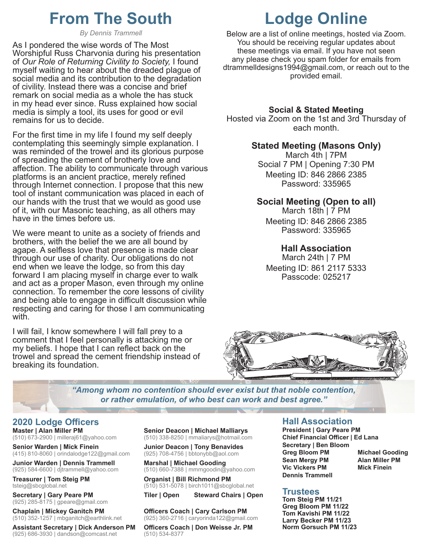## **From The South**

*By Dennis Trammell*

As I pondered the wise words of The Most Worshipful Russ Charvonia during his presentation of *Our Role of Returning Civility to Society,* I found myself waiting to hear about the dreaded plague of social media and its contribution to the degradation of civility. Instead there was a concise and brief remark on social media as a whole the has stuck in my head ever since. Russ explained how social media is simply a tool, its uses for good or evil remains for us to decide.

For the first time in my life I found my self deeply contemplating this seemingly simple explanation. I was reminded of the trowel and its glorious purpose of spreading the cement of brotherly love and affection. The ability to communicate through various platforms is an ancient practice, merely refined through Internet connection. I propose that this new tool of instant communication was placed in each of our hands with the trust that we would as good use of it, with our Masonic teaching, as all others may have in the times before us.

We were meant to unite as a society of friends and brothers, with the belief the we are all bound by agape. A selfless love that presence is made clear through our use of charity. Our obligations do not end when we leave the lodge, so from this day forward I am placing myself in charge ever to walk and act as a proper Mason, even through my online connection. To remember the core lessons of civility and being able to engage in difficult discussion while respecting and caring for those I am communicating with.

I will fail, I know somewhere I will fall prey to a comment that I feel personally is attacking me or my beliefs. I hope that I can reflect back on the trowel and spread the cement friendship instead of breaking its foundation.

# **Lodge Online**

Below are a list of online meetings, hosted via Zoom. You should be receiving regular updates about these meetings via email. If you have not seen any please check you spam folder for emails from dtrammelldesigns1994@gmail.com, or reach out to the provided email.

#### **Social & Stated Meeting**

Hosted via Zoom on the 1st and 3rd Thursday of each month.

#### **Stated Meeting (Masons Only)**

March 4th | 7PM Social 7 PM | Opening 7:30 PM Meeting ID: 846 2866 2385 Password: 335965

#### **Social Meeting (Open to all)**

March 18th | 7 PM Meeting ID: 846 2866 2385 Password: 335965

#### **Hall Association**

March 24th | 7 PM Meeting ID: 861 2117 5333 Passcode: 025217



*"Among whom no contention should ever exist but that noble contention, or rather emulation, of who best can work and best agree."*

#### **2020 Lodge Offi cers**

**Master | Alan Miller PM** (510) 673-2900 | milleraj61@yahoo.com

**Senior Warden | Mick Finein** (415) 810-8060 | orindalodge122@gmail.com

**Junior Warden | Dennis Trammell** (925) 584-6600 | djtrammell@yahoo.com

**Treasurer | Tom Steig PM** tsteig@sbcglobal.net

**Secretary | Gary Peare PM** (925) 285-8175 | gpeare@gmail.com

**Chaplain | Mickey Ganitch PM** (510) 352-1257 | mbganitch@earthlink.net

**Assistant Secretary | Dick Anderson PM** (925) 686-3930 | dandson@comcast.net

**Senior Deacon | Michael Malliarys** (510) 338-8250 | mmaliarys@hotmail.com

**Junior Deacon | Tony Benavides** (925) 708-4756 | bbtonybb@aol.com

**Marshal | Michael Gooding** (510) 660-7388 | mmmgoodin@yahoo.com

**Organist | Bill Richmond PM** (510) 531-5078 | birch1011@sbcglobal.net

**Tiler | Open Steward Chairs | Open**

**Offi cers Coach | Cary Carlson PM** (925) 360-2716 | caryorinda122@gmail.com

**Offi cers Coach | Don Weisse Jr. PM** (510) 534-8377

#### **Hall Association**

**President | Gary Peare PM Chief Financial Offi cer | Ed Lana Secretary | Ben Bloom Greg Bloom PM Michael Gooding Sean Mergy PM Alan Miller PM Vic Vickers PM Mick Finein Dennis Trammell**

#### **Trustees**

**Tom Steig PM 11/21 Greg Bloom PM 11/22 Tom Kavishi PM 11/22 Larry Becker PM 11/23 Norm Gorsuch PM 11/23**